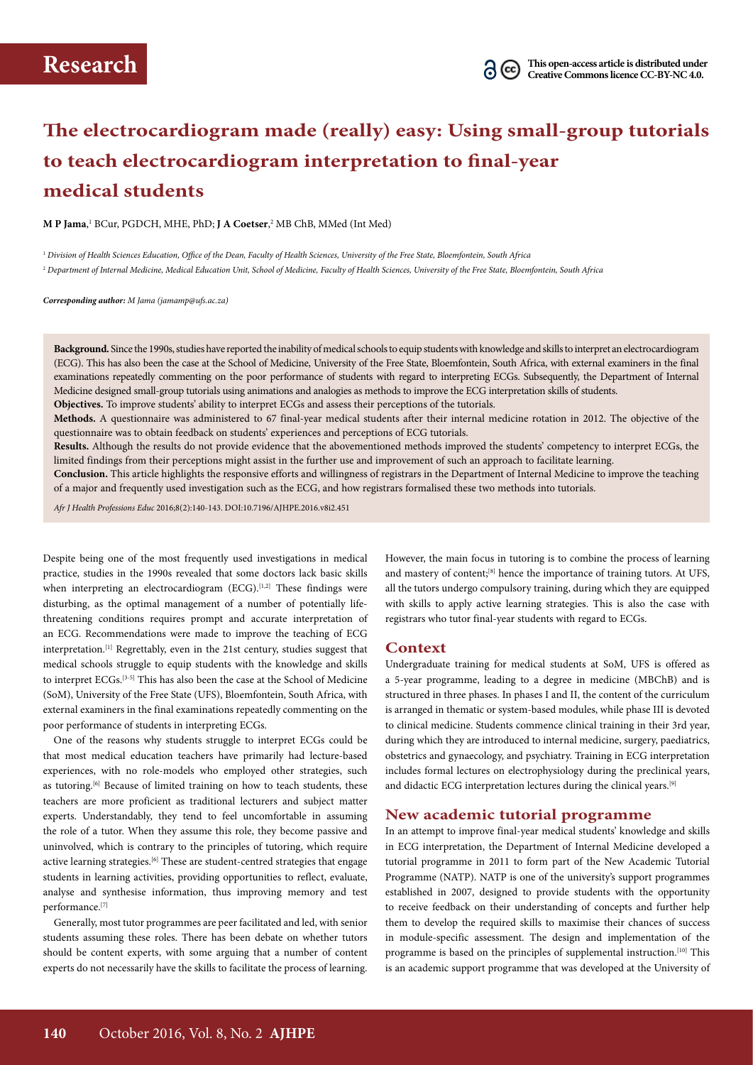# **The electrocardiogram made (really) easy: Using small-group tutorials to teach electrocardiogram interpretation to final-year medical students**

**M P Jama**,<sup>1</sup> BCur, PGDCH, MHE, PhD; **J A Coetser**,<sup>2</sup> MB ChB, MMed (Int Med)

<sup>1</sup> *Division of Health Sciences Education, Office of the Dean, Faculty of Health Sciences, University of the Free State, Bloemfontein, South Africa* <sup>2</sup> *Department of Internal Medicine, Medical Education Unit, School of Medicine, Faculty of Health Sciences, University of the Free State, Bloemfontein, South Africa*

*Corresponding author: M Jama (jamamp@ufs.ac.za)*

**Background.** Since the 1990s, studies have reported the inability of medical schools to equip students with knowledge and skills to interpret an electrocardiogram (ECG). This has also been the case at the School of Medicine, University of the Free State, Bloemfontein, South Africa, with external examiners in the final examinations repeatedly commenting on the poor performance of students with regard to interpreting ECGs. Subsequently, the Department of Internal Medicine designed small-group tutorials using animations and analogies as methods to improve the ECG interpretation skills of students.

**Objectives.** To improve students' ability to interpret ECGs and assess their perceptions of the tutorials.

**Methods.** A questionnaire was administered to 67 final-year medical students after their internal medicine rotation in 2012. The objective of the questionnaire was to obtain feedback on students' experiences and perceptions of ECG tutorials.

**Results.** Although the results do not provide evidence that the abovementioned methods improved the students' competency to interpret ECGs, the limited findings from their perceptions might assist in the further use and improvement of such an approach to facilitate learning.

**Conclusion.** This article highlights the responsive efforts and willingness of registrars in the Department of Internal Medicine to improve the teaching of a major and frequently used investigation such as the ECG, and how registrars formalised these two methods into tutorials.

*Afr J Health Professions Educ* 2016;8(2):140-143. DOI:10.7196/AJHPE.2016.v8i2.451

Despite being one of the most frequently used investigations in medical practice, studies in the 1990s revealed that some doctors lack basic skills when interpreting an electrocardiogram (ECG).<sup>[1,2]</sup> These findings were disturbing, as the optimal management of a number of potentially lifethreatening conditions requires prompt and accurate interpretation of an ECG. Recommendations were made to improve the teaching of ECG interpretation.[1] Regrettably, even in the 21st century, studies suggest that medical schools struggle to equip students with the knowledge and skills to interpret ECGs.<sup>[3-5]</sup> This has also been the case at the School of Medicine (SoM), University of the Free State (UFS), Bloemfontein, South Africa, with external examiners in the final examinations repeatedly commenting on the poor performance of students in interpreting ECGs.

One of the reasons why students struggle to interpret ECGs could be that most medical education teachers have primarily had lecture-based experiences, with no role-models who employed other strategies, such as tutoring.<sup>[6]</sup> Because of limited training on how to teach students, these teachers are more proficient as traditional lecturers and subject matter experts. Understandably, they tend to feel uncomfortable in assuming the role of a tutor. When they assume this role, they become passive and uninvolved, which is contrary to the principles of tutoring, which require active learning strategies.<sup>[6]</sup> These are student-centred strategies that engage students in learning activities, providing opportunities to reflect, evaluate, analyse and synthesise information, thus improving memory and test performance.[7]

Generally, most tutor programmes are peer facilitated and led, with senior students assuming these roles. There has been debate on whether tutors should be content experts, with some arguing that a number of content experts do not necessarily have the skills to facilitate the process of learning.

However, the main focus in tutoring is to combine the process of learning and mastery of content;<sup>[8]</sup> hence the importance of training tutors. At UFS, all the tutors undergo compulsory training, during which they are equipped with skills to apply active learning strategies. This is also the case with registrars who tutor final-year students with regard to ECGs.

## **Context**

Undergraduate training for medical students at SoM, UFS is offered as a 5-year programme, leading to a degree in medicine (MBChB) and is structured in three phases. In phases I and II, the content of the curriculum is arranged in thematic or system-based modules, while phase III is devoted to clinical medicine. Students commence clinical training in their 3rd year, during which they are introduced to internal medicine, surgery, paediatrics, obstetrics and gynaecology, and psychiatry. Training in ECG interpretation includes formal lectures on electrophysiology during the preclinical years, and didactic ECG interpretation lectures during the clinical years.[9]

# **New academic tutorial programme**

In an attempt to improve final-year medical students' knowledge and skills in ECG interpretation, the Department of Internal Medicine developed a tutorial programme in 2011 to form part of the New Academic Tutorial Programme (NATP). NATP is one of the university's support programmes established in 2007, designed to provide students with the opportunity to receive feedback on their understanding of concepts and further help them to develop the required skills to maximise their chances of success in module-specific assessment. The design and implementation of the programme is based on the principles of supplemental instruction.[10] This is an academic support programme that was developed at the University of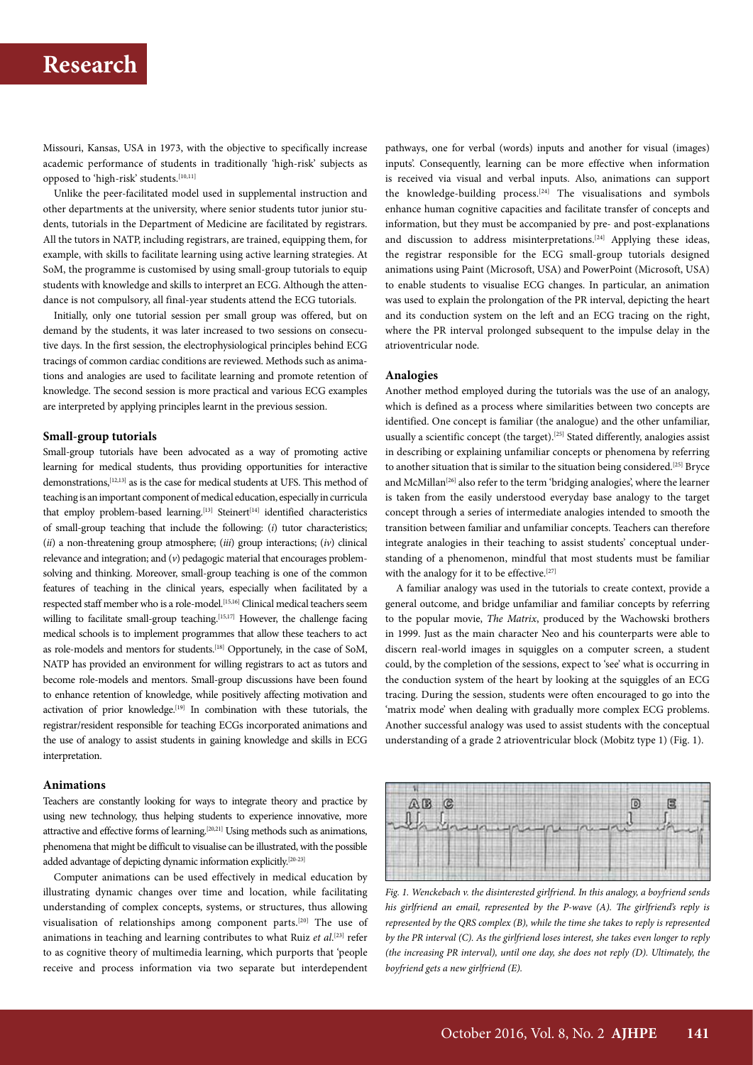# **Research**

Missouri, Kansas, USA in 1973, with the objective to specifically increase academic performance of students in traditionally 'high-risk' subjects as opposed to 'high-risk' students.<sup>[10,11]</sup>

Unlike the peer-facilitated model used in supplemental instruction and other departments at the university, where senior students tutor junior students, tutorials in the Department of Medicine are facilitated by registrars. All the tutors in NATP, including registrars, are trained, equipping them, for example, with skills to facilitate learning using active learning strategies. At SoM, the programme is customised by using small-group tutorials to equip students with knowledge and skills to interpret an ECG. Although the attendance is not compulsory, all final-year students attend the ECG tutorials.

Initially, only one tutorial session per small group was offered, but on demand by the students, it was later increased to two sessions on consecutive days. In the first session, the electrophysiological principles behind ECG tracings of common cardiac conditions are reviewed. Methods such as animations and analogies are used to facilitate learning and promote retention of knowledge. The second session is more practical and various ECG examples are interpreted by applying principles learnt in the previous session.

## **Small-group tutorials**

Small-group tutorials have been advocated as a way of promoting active learning for medical students, thus providing opportunities for interactive demonstrations, <a>[12,13]</a> as is the case for medical students at UFS. This method of teaching is an important component of medical education, especially in curricula that employ problem-based learning.<sup>[13]</sup> Steinert<sup>[14]</sup> identified characteristics of small-group teaching that include the following: (*i*) tutor characteristics; (*ii*) a non-threatening group atmosphere; (*iii*) group interactions; (*iv*) clinical relevance and integration; and (*v*) pedagogic material that encourages problemsolving and thinking. Moreover, small-group teaching is one of the common features of teaching in the clinical years, especially when facilitated by a respected staff member who is a role-model.[15,16] Clinical medical teachers seem willing to facilitate small-group teaching.<sup>[15,17]</sup> However, the challenge facing medical schools is to implement programmes that allow these teachers to act as role-models and mentors for students.[18] Opportunely, in the case of SoM, NATP has provided an environment for willing registrars to act as tutors and become role-models and mentors. Small-group discussions have been found to enhance retention of knowledge, while positively affecting motivation and activation of prior knowledge.[19] In combination with these tutorials, the registrar/resident responsible for teaching ECGs incorporated animations and the use of analogy to assist students in gaining knowledge and skills in ECG interpretation.

### **Animations**

Teachers are constantly looking for ways to integrate theory and practice by using new technology, thus helping students to experience innovative, more attractive and effective forms of learning.[20,21] Using methods such as animations, phenomena that might be difficult to visualise can be illustrated, with the possible added advantage of depicting dynamic information explicitly.[20-23]

Computer animations can be used effectively in medical education by illustrating dynamic changes over time and location, while facilitating understanding of complex concepts, systems, or structures, thus allowing visualisation of relationships among component parts.[20] The use of animations in teaching and learning contributes to what Ruiz *et al.*<sup>[23]</sup> refer to as cognitive theory of multimedia learning, which purports that 'people receive and process information via two separate but interdependent

pathways, one for verbal (words) inputs and another for visual (images) inputs'. Consequently, learning can be more effective when information is received via visual and verbal inputs. Also, animations can support the knowledge-building process.[24] The visualisations and symbols enhance human cognitive capacities and facilitate transfer of concepts and information, but they must be accompanied by pre- and post-explanations and discussion to address misinterpretations.<sup>[24]</sup> Applying these ideas, the registrar responsible for the ECG small-group tutorials designed animations using Paint (Microsoft, USA) and PowerPoint (Microsoft, USA) to enable students to visualise ECG changes. In particular, an animation was used to explain the prolongation of the PR interval, depicting the heart and its conduction system on the left and an ECG tracing on the right, where the PR interval prolonged subsequent to the impulse delay in the atrioventricular node.

### **Analogies**

Another method employed during the tutorials was the use of an analogy, which is defined as a process where similarities between two concepts are identified. One concept is familiar (the analogue) and the other unfamiliar, usually a scientific concept (the target).<sup>[25]</sup> Stated differently, analogies assist in describing or explaining unfamiliar concepts or phenomena by referring to another situation that is similar to the situation being considered.<sup>[25]</sup> Bryce and McMillan<sup>[26]</sup> also refer to the term 'bridging analogies', where the learner is taken from the easily understood everyday base analogy to the target concept through a series of intermediate analogies intended to smooth the transition between familiar and unfamiliar concepts. Teachers can therefore integrate analogies in their teaching to assist students' conceptual understanding of a phenomenon, mindful that most students must be familiar with the analogy for it to be effective.<sup>[27]</sup>

A familiar analogy was used in the tutorials to create context, provide a general outcome, and bridge unfamiliar and familiar concepts by referring to the popular movie, *The Matrix*, produced by the Wachowski brothers in 1999. Just as the main character Neo and his counterparts were able to discern real-world images in squiggles on a computer screen, a student could, by the completion of the sessions, expect to 'see' what is occurring in the conduction system of the heart by looking at the squiggles of an ECG tracing. During the session, students were often encouraged to go into the 'matrix mode' when dealing with gradually more complex ECG problems. Another successful analogy was used to assist students with the conceptual understanding of a grade 2 atrioventricular block (Mobitz type 1) (Fig. 1).



*Fig. 1. Wenckebach v. the disinterested girlfriend. In this analogy, a boyfriend sends his girlfriend an email, represented by the P-wave (A). The girlfriend's reply is represented by the QRS complex (B), while the time she takes to reply is represented by the PR interval (C). As the girlfriend loses interest, she takes even longer to reply (the increasing PR interval), until one day, she does not reply (D). Ultimately, the boyfriend gets a new girlfriend (E).*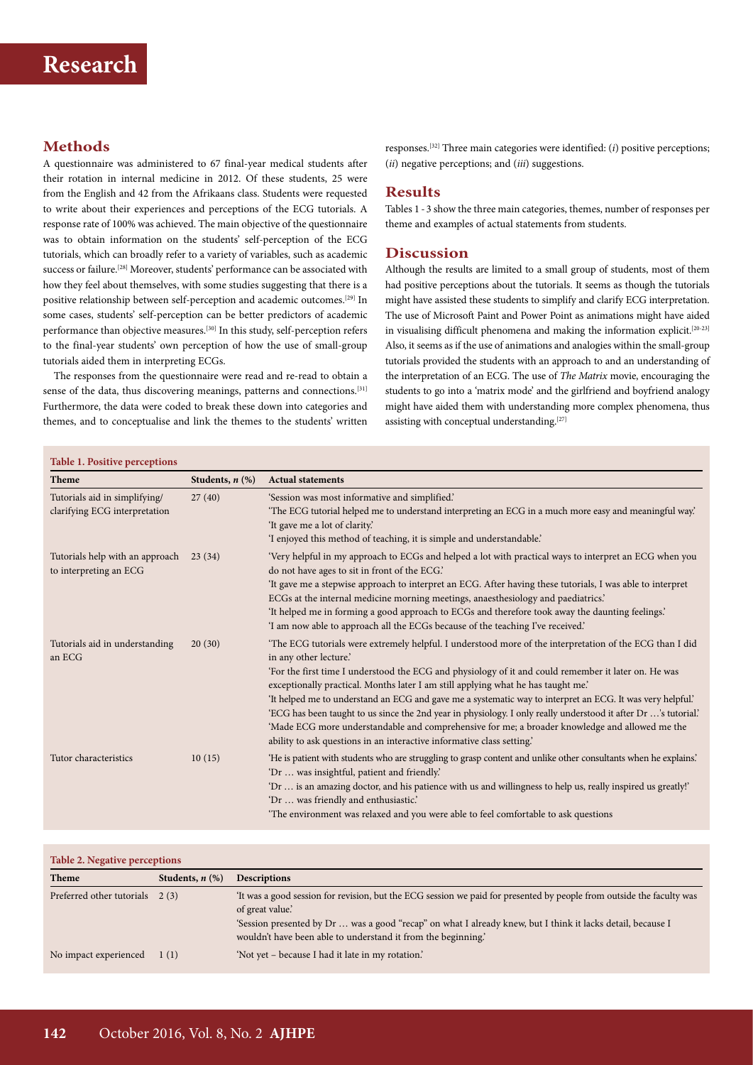# **Methods**

A questionnaire was administered to 67 final-year medical students after their rotation in internal medicine in 2012. Of these students, 25 were from the English and 42 from the Afrikaans class. Students were requested to write about their experiences and perceptions of the ECG tutorials. A response rate of 100% was achieved. The main objective of the questionnaire was to obtain information on the students' self-perception of the ECG tutorials, which can broadly refer to a variety of variables, such as academic success or failure.<sup>[28]</sup> Moreover, students' performance can be associated with how they feel about themselves, with some studies suggesting that there is a positive relationship between self-perception and academic outcomes.[29] In some cases, students' self-perception can be better predictors of academic performance than objective measures.[30] In this study, self-perception refers to the final-year students' own perception of how the use of small-group tutorials aided them in interpreting ECGs.

The responses from the questionnaire were read and re-read to obtain a sense of the data, thus discovering meanings, patterns and connections.<sup>[31]</sup> Furthermore, the data were coded to break these down into categories and themes, and to conceptualise and link the themes to the students' written responses.[32] Three main categories were identified: (*i*) positive perceptions; (*ii*) negative perceptions; and (*iii*) suggestions.

# **Results**

Tables 1 - 3 show the three main categories, themes, number of responses per theme and examples of actual statements from students.

## **Discussion**

Although the results are limited to a small group of students, most of them had positive perceptions about the tutorials. It seems as though the tutorials might have assisted these students to simplify and clarify ECG interpretation. The use of Microsoft Paint and Power Point as animations might have aided in visualising difficult phenomena and making the information explicit.[20-23] Also, it seems as if the use of animations and analogies within the small-group tutorials provided the students with an approach to and an understanding of the interpretation of an ECG. The use of *The Matrix* movie, encouraging the students to go into a 'matrix mode' and the girlfriend and boyfriend analogy might have aided them with understanding more complex phenomena, thus assisting with conceptual understanding.<sup>[27]</sup>

| <b>Theme</b>                                                      | Students, $n$ $(\%)$ | <b>Actual statements</b>                                                                                                                                                                                                                                                                                                                                                                                                                                                                                                                                                                                                                                                                                                                  |
|-------------------------------------------------------------------|----------------------|-------------------------------------------------------------------------------------------------------------------------------------------------------------------------------------------------------------------------------------------------------------------------------------------------------------------------------------------------------------------------------------------------------------------------------------------------------------------------------------------------------------------------------------------------------------------------------------------------------------------------------------------------------------------------------------------------------------------------------------------|
| Tutorials aid in simplifying/<br>clarifying ECG interpretation    | 27(40)               | 'Session was most informative and simplified.'<br>'The ECG tutorial helped me to understand interpreting an ECG in a much more easy and meaningful way.'<br>'It gave me a lot of clarity'.<br>'I enjoyed this method of teaching, it is simple and understandable.'                                                                                                                                                                                                                                                                                                                                                                                                                                                                       |
| Tutorials help with an approach 23 (34)<br>to interpreting an ECG |                      | 'Very helpful in my approach to ECGs and helped a lot with practical ways to interpret an ECG when you<br>do not have ages to sit in front of the ECG.<br>'It gave me a stepwise approach to interpret an ECG. After having these tutorials, I was able to interpret<br>ECGs at the internal medicine morning meetings, anaesthesiology and paediatrics.'<br>'It helped me in forming a good approach to ECGs and therefore took away the daunting feelings.'<br>'I am now able to approach all the ECGs because of the teaching I've received.'                                                                                                                                                                                          |
| Tutorials aid in understanding<br>an ECG                          | 20(30)               | 'The ECG tutorials were extremely helpful. I understood more of the interpretation of the ECG than I did<br>in any other lecture.<br>For the first time I understood the ECG and physiology of it and could remember it later on. He was<br>exceptionally practical. Months later I am still applying what he has taught me.'<br>'It helped me to understand an ECG and gave me a systematic way to interpret an ECG. It was very helpful.'<br>'ECG has been taught to us since the 2nd year in physiology. I only really understood it after Dr 's tutorial'<br>'Made ECG more understandable and comprehensive for me; a broader knowledge and allowed me the<br>ability to ask questions in an interactive informative class setting.' |
| Tutor characteristics                                             | 10(15)               | 'He is patient with students who are struggling to grasp content and unlike other consultants when he explains'<br>'Dr  was insightful, patient and friendly'.<br>'Dr  is an amazing doctor, and his patience with us and willingness to help us, really inspired us greatly!'<br>'Dr  was friendly and enthusiastic.'<br>'The environment was relaxed and you were able to feel comfortable to ask questions                                                                                                                                                                                                                                                                                                                             |

| Table 2. Negative perceptions  |                      |                                                                                                                                                                                                                                                                                                                        |  |  |
|--------------------------------|----------------------|------------------------------------------------------------------------------------------------------------------------------------------------------------------------------------------------------------------------------------------------------------------------------------------------------------------------|--|--|
| <b>Theme</b>                   | Students, $n$ $(\%)$ | <b>Descriptions</b>                                                                                                                                                                                                                                                                                                    |  |  |
| Preferred other tutorials 2(3) |                      | It was a good session for revision, but the ECG session we paid for presented by people from outside the faculty was<br>of great value.<br>'Session presented by Dr  was a good "recap" on what I already knew, but I think it lacks detail, because I<br>wouldn't have been able to understand it from the beginning. |  |  |
| No impact experienced $1(1)$   |                      | 'Not yet – because I had it late in my rotation.'                                                                                                                                                                                                                                                                      |  |  |